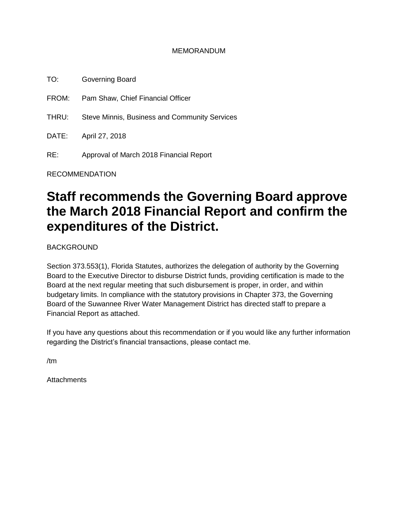#### MEMORANDUM

TO: Governing Board FROM: Pam Shaw, Chief Financial Officer THRU: Steve Minnis, Business and Community Services DATE: April 27, 2018 RE: Approval of March 2018 Financial Report

RECOMMENDATION

# **Staff recommends the Governing Board approve the March 2018 Financial Report and confirm the expenditures of the District.**

BACKGROUND

Section 373.553(1), Florida Statutes, authorizes the delegation of authority by the Governing Board to the Executive Director to disburse District funds, providing certification is made to the Board at the next regular meeting that such disbursement is proper, in order, and within budgetary limits. In compliance with the statutory provisions in Chapter 373, the Governing Board of the Suwannee River Water Management District has directed staff to prepare a Financial Report as attached.

If you have any questions about this recommendation or if you would like any further information regarding the District's financial transactions, please contact me.

/tm

**Attachments**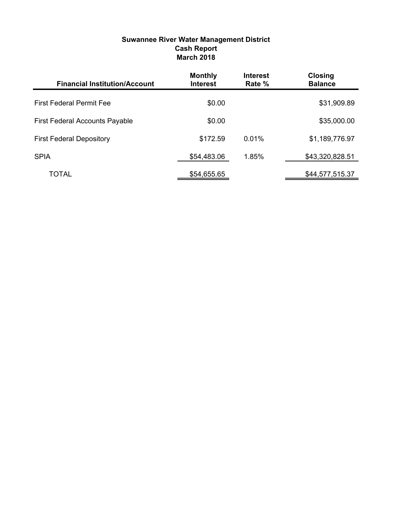| <b>Suwannee River Water Management District</b> |
|-------------------------------------------------|
| <b>Cash Report</b>                              |
| <b>March 2018</b>                               |

| <b>Financial Institution/Account</b>  | <b>Monthly</b><br><b>Interest</b> | <b>Interest</b><br>Rate % | <b>Closing</b><br><b>Balance</b> |
|---------------------------------------|-----------------------------------|---------------------------|----------------------------------|
| <b>First Federal Permit Fee</b>       | \$0.00                            |                           | \$31,909.89                      |
| <b>First Federal Accounts Payable</b> | \$0.00                            |                           | \$35,000.00                      |
| <b>First Federal Depository</b>       | \$172.59                          | 0.01%                     | \$1,189,776.97                   |
| <b>SPIA</b>                           | \$54,483.06                       | 1.85%                     | \$43,320,828.51                  |
| TOTAL                                 | \$54,655.65                       |                           | \$44,577,515.37                  |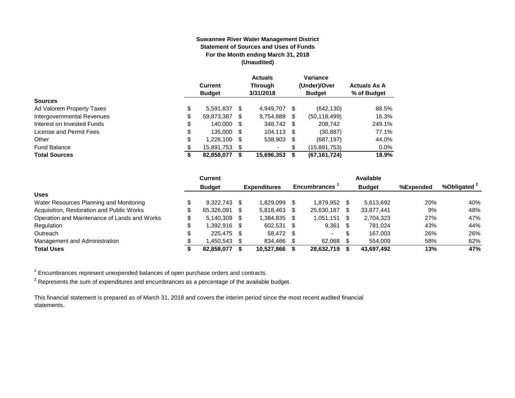#### **Suwannee River Water Management District Statement of Sources and Uses of Funds For the Month ending March 31, 2018 (Unaudited)**

|                            | <b>Current</b><br><b>Budget</b> |      | <b>Actuals</b><br>Through<br>3/31/2018 |     | Variance<br>(Under)/Over<br><b>Budget</b> | <b>Actuals As A</b><br>% of Budget |
|----------------------------|---------------------------------|------|----------------------------------------|-----|-------------------------------------------|------------------------------------|
| <b>Sources</b>             |                                 |      |                                        |     |                                           |                                    |
| Ad Valorem Property Taxes  | \$<br>5.591.837                 | \$.  | 4.949.707                              | \$. | (642, 130)                                | 88.5%                              |
| Intergovernmental Revenues | \$<br>59,873,387                | S    | 9,754,888                              | \$  | (50, 118, 499)                            | 16.3%                              |
| Interest on Invested Funds | \$<br>140.000                   | -S   | 348.742 \$                             |     | 208.742                                   | 249.1%                             |
| License and Permit Fees    | \$<br>135,000                   | - \$ | 104,113 \$                             |     | (30, 887)                                 | 77.1%                              |
| Other                      | \$<br>1,226,100                 | S    | 538,903 \$                             |     | (687, 197)                                | 44.0%                              |
| <b>Fund Balance</b>        | \$<br>15,891,753                | S    | ۰                                      | \$  | (15,891,753)                              | 0.0%                               |
| <b>Total Sources</b>       | \$<br>82,858,077                |      | 15,696,353                             | S   | (67, 161, 724)                            | 18.9%                              |

|                                              | <b>Current</b> |      |                     |      |                     |      | Available     |           |                         |
|----------------------------------------------|----------------|------|---------------------|------|---------------------|------|---------------|-----------|-------------------------|
|                                              | <b>Budget</b>  |      | <b>Expenditures</b> |      | <b>Encumbrances</b> |      | <b>Budget</b> | %Expended | %Obligated <sup>2</sup> |
| <b>Uses</b>                                  |                |      |                     |      |                     |      |               |           |                         |
| Water Resources Planning and Monitoring      | $9.322.743$ \$ |      | 1.829.099           |      | 1.879.952           | -SS  | 5.613.692     | 20%       | 40%                     |
| Acquisition, Restoration and Public Works    | 65.326.091     | - \$ | 5.818.463           | -S   | 25.630.187          | \$.  | 33,877,441    | 9%        | 48%                     |
| Operation and Maintenance of Lands and Works | $5.140.309$ \$ |      | 1.384.835           | - \$ | 1,051,151           | -S   | 2,704,323     | 27%       | 47%                     |
| Regulation                                   | 1.392.916 \$   |      | 602.531             | - \$ | 9,361               | - \$ | 781.024       | 43%       | 44%                     |
| Outreach                                     | 225.475 \$     |      | 58.472 \$           |      | $\sim$              | S.   | 167.003       | 26%       | 26%                     |
| Management and Administration                | .450.543       |      | 834.466             |      | 62,068              |      | 554,009       | 58%       | 62%                     |
| <b>Total Uses</b>                            | 82,858,077     |      | 10.527.866          |      | 28,632,719          |      | 43,697,492    | 13%       | 47%                     |

 $1$  Encumbrances represent unexpended balances of open purchase orders and contracts.

 $^2$  Represents the sum of expenditures and encumbrances as a percentage of the available budget.

This financial statement is prepared as of March 31, 2018 and covers the interim period since the most recent audited financial statements.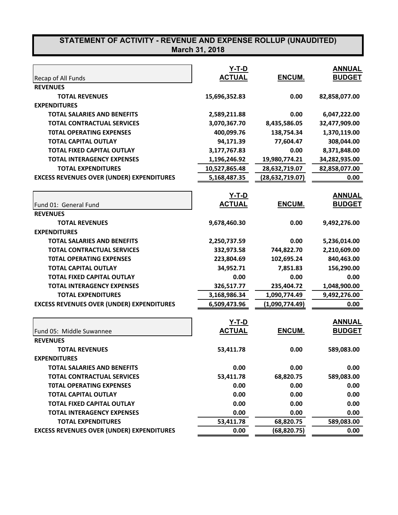|                                                  | $Y-T-D$       |                 | <b>ANNUAL</b> |
|--------------------------------------------------|---------------|-----------------|---------------|
| Recap of All Funds                               | <b>ACTUAL</b> | ENCUM.          | <b>BUDGET</b> |
| <b>REVENUES</b>                                  |               |                 |               |
| <b>TOTAL REVENUES</b>                            | 15,696,352.83 | 0.00            | 82,858,077.00 |
| <b>EXPENDITURES</b>                              |               |                 |               |
| <b>TOTAL SALARIES AND BENEFITS</b>               | 2,589,211.88  | 0.00            | 6,047,222.00  |
| <b>TOTAL CONTRACTUAL SERVICES</b>                | 3,070,367.70  | 8,435,586.05    | 32,477,909.00 |
| <b>TOTAL OPERATING EXPENSES</b>                  | 400,099.76    | 138,754.34      | 1,370,119.00  |
| <b>TOTAL CAPITAL OUTLAY</b>                      | 94,171.39     | 77,604.47       | 308,044.00    |
| <b>TOTAL FIXED CAPITAL OUTLAY</b>                | 3,177,767.83  | 0.00            | 8,371,848.00  |
| <b>TOTAL INTERAGENCY EXPENSES</b>                | 1,196,246.92  | 19,980,774.21   | 34,282,935.00 |
| <b>TOTAL EXPENDITURES</b>                        | 10,527,865.48 | 28,632,719.07   | 82,858,077.00 |
| <b>EXCESS REVENUES OVER (UNDER) EXPENDITURES</b> | 5,168,487.35  | (28,632,719.07) | 0.00          |
|                                                  | <u>Y-T-D</u>  |                 | <b>ANNUAL</b> |
| Fund 01: General Fund                            | <b>ACTUAL</b> | ENCUM.          | <b>BUDGET</b> |
| <b>REVENUES</b>                                  |               |                 |               |
| <b>TOTAL REVENUES</b>                            | 9,678,460.30  | 0.00            | 9,492,276.00  |
| <b>EXPENDITURES</b>                              |               |                 |               |
| <b>TOTAL SALARIES AND BENEFITS</b>               | 2,250,737.59  | 0.00            | 5,236,014.00  |
| <b>TOTAL CONTRACTUAL SERVICES</b>                | 332,973.58    | 744,822.70      | 2,210,609.00  |
| <b>TOTAL OPERATING EXPENSES</b>                  | 223,804.69    | 102,695.24      | 840,463.00    |
| <b>TOTAL CAPITAL OUTLAY</b>                      | 34,952.71     | 7,851.83        | 156,290.00    |
| <b>TOTAL FIXED CAPITAL OUTLAY</b>                | 0.00          | 0.00            | 0.00          |
| <b>TOTAL INTERAGENCY EXPENSES</b>                | 326,517.77    | 235,404.72      | 1,048,900.00  |
| <b>TOTAL EXPENDITURES</b>                        | 3,168,986.34  | 1,090,774.49    | 9,492,276.00  |
| <b>EXCESS REVENUES OVER (UNDER) EXPENDITURES</b> | 6,509,473.96  | (1,090,774.49)  | 0.00          |
|                                                  |               |                 |               |
|                                                  | Y-T-D         |                 | <b>ANNUAL</b> |
| Fund 05: Middle Suwannee                         | <b>ACTUAL</b> | ENCUM.          | <b>BUDGET</b> |
| <b>REVENUES</b>                                  |               |                 |               |
| <b>TOTAL REVENUES</b>                            | 53,411.78     | 0.00            | 589,083.00    |
| <b>EXPENDITURES</b>                              |               |                 |               |
| <b>TOTAL SALARIES AND BENEFITS</b>               | 0.00          | 0.00            | 0.00          |
| <b>TOTAL CONTRACTUAL SERVICES</b>                | 53,411.78     | 68,820.75       | 589,083.00    |
| <b>TOTAL OPERATING EXPENSES</b>                  | 0.00          | 0.00            | 0.00          |
| <b>TOTAL CAPITAL OUTLAY</b>                      | 0.00          | 0.00            | 0.00          |
| <b>TOTAL FIXED CAPITAL OUTLAY</b>                | 0.00          | 0.00            | 0.00          |
| <b>TOTAL INTERAGENCY EXPENSES</b>                | 0.00          | 0.00            | 0.00          |
| <b>TOTAL EXPENDITURES</b>                        | 53,411.78     | 68,820.75       | 589,083.00    |
| <b>EXCESS REVENUES OVER (UNDER) EXPENDITURES</b> | 0.00          | (68, 820.75)    | 0.00          |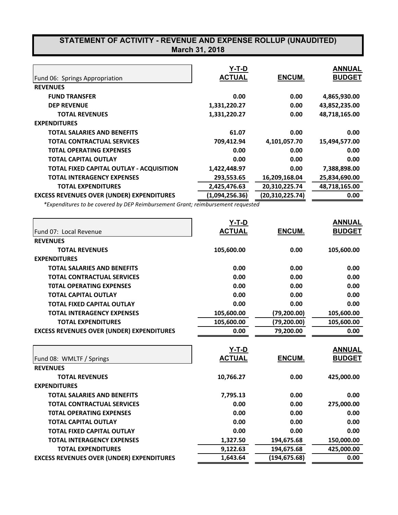|                                                  | Y-T-D          |                   | <b>ANNUAL</b> |
|--------------------------------------------------|----------------|-------------------|---------------|
| Fund 06: Springs Appropriation                   | <b>ACTUAL</b>  | ENCUM.            | <b>BUDGET</b> |
| <b>REVENUES</b>                                  |                |                   |               |
| <b>FUND TRANSFER</b>                             | 0.00           | 0.00              | 4,865,930.00  |
| <b>DEP REVENUE</b>                               | 1,331,220.27   | 0.00              | 43,852,235.00 |
| <b>TOTAL REVENUES</b>                            | 1,331,220.27   | 0.00              | 48,718,165.00 |
| <b>EXPENDITURES</b>                              |                |                   |               |
| <b>TOTAL SALARIES AND BENEFITS</b>               | 61.07          | 0.00              | 0.00          |
| <b>TOTAL CONTRACTUAL SERVICES</b>                | 709,412.94     | 4,101,057.70      | 15,494,577.00 |
| <b>TOTAL OPERATING EXPENSES</b>                  | 0.00           | 0.00              | 0.00          |
| <b>TOTAL CAPITAL OUTLAY</b>                      | 0.00           | 0.00              | 0.00          |
| <b>TOTAL FIXED CAPITAL OUTLAY - ACQUISITION</b>  | 1,422,448.97   | 0.00              | 7,388,898.00  |
| <b>TOTAL INTERAGENCY EXPENSES</b>                | 293,553.65     | 16,209,168.04     | 25,834,690.00 |
| <b>TOTAL EXPENDITURES</b>                        | 2,425,476.63   | 20,310,225.74     | 48,718,165.00 |
| <b>EXCESS REVENUES OVER (UNDER) EXPENDITURES</b> | (1,094,256.36) | (20, 310, 225.74) | 0.00          |

*\*Expenditures to be covered by DEP Reimbursement Grant; reimbursement requested*

| Fund 07: Local Revenue                           | Y-T-D<br><b>ACTUAL</b> | ENCUM.        | <b>ANNUAL</b><br><b>BUDGET</b> |
|--------------------------------------------------|------------------------|---------------|--------------------------------|
| <b>REVENUES</b>                                  |                        |               |                                |
| <b>TOTAL REVENUES</b>                            | 105,600.00             | 0.00          | 105,600.00                     |
| <b>EXPENDITURES</b>                              |                        |               |                                |
| <b>TOTAL SALARIES AND BENEFITS</b>               | 0.00                   | 0.00          | 0.00                           |
| <b>TOTAL CONTRACTUAL SERVICES</b>                | 0.00                   | 0.00          | 0.00                           |
| <b>TOTAL OPERATING EXPENSES</b>                  | 0.00                   | 0.00          | 0.00                           |
| <b>TOTAL CAPITAL OUTLAY</b>                      | 0.00                   | 0.00          | 0.00                           |
| <b>TOTAL FIXED CAPITAL OUTLAY</b>                | 0.00                   | 0.00          | 0.00                           |
| <b>TOTAL INTERAGENCY EXPENSES</b>                | 105,600.00             | (79, 200.00)  | 105,600.00                     |
| <b>TOTAL EXPENDITURES</b>                        | 105,600.00             | (79,200.00)   | 105,600.00                     |
| <b>EXCESS REVENUES OVER (UNDER) EXPENDITURES</b> | 0.00                   | 79,200.00     | 0.00                           |
|                                                  | <u>Y-T-D</u>           |               | <b>ANNUAL</b>                  |
| Fund 08: WMLTF / Springs                         | <b>ACTUAL</b>          | <b>ENCUM.</b> | <b>BUDGET</b>                  |
| <b>REVENUES</b>                                  |                        |               |                                |
| <b>TOTAL REVENUES</b>                            | 10,766.27              | 0.00          | 425,000.00                     |
| <b>EXPENDITURES</b>                              |                        |               |                                |
| <b>TOTAL SALARIES AND BENEFITS</b>               | 7,795.13               | 0.00          | 0.00                           |
| <b>TOTAL CONTRACTUAL SERVICES</b>                | 0.00                   | 0.00          | 275,000.00                     |
| <b>TOTAL OPERATING EXPENSES</b>                  | 0.00                   | 0.00          | 0.00                           |
| <b>TOTAL CAPITAL OUTLAY</b>                      | 0.00                   | 0.00          | 0.00                           |
| <b>TOTAL FIXED CAPITAL OUTLAY</b>                | 0.00                   | 0.00          | 0.00                           |
| <b>TOTAL INTERAGENCY EXPENSES</b>                | 1,327.50               | 194,675.68    | 150,000.00                     |
| <b>TOTAL EXPENDITURES</b>                        | 9,122.63               | 194,675.68    | 425,000.00                     |
| <b>EXCESS REVENUES OVER (UNDER) EXPENDITURES</b> | 1,643.64               | (194, 675.68) | 0.00                           |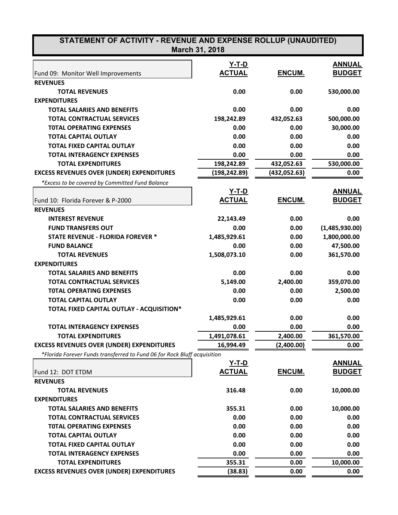| STATEMENT OF ACTIVITY - REVENUE AND EXPENSE ROLLUP (UNAUDITED)<br>March 31, 2018 |               |               |                |  |  |
|----------------------------------------------------------------------------------|---------------|---------------|----------------|--|--|
|                                                                                  | Y-T-D         |               | <b>ANNUAL</b>  |  |  |
| Fund 09: Monitor Well Improvements                                               | <b>ACTUAL</b> | <b>ENCUM.</b> | <b>BUDGET</b>  |  |  |
| <b>REVENUES</b>                                                                  |               |               |                |  |  |
| <b>TOTAL REVENUES</b>                                                            | 0.00          | 0.00          | 530,000.00     |  |  |
| <b>EXPENDITURES</b>                                                              |               |               |                |  |  |
| <b>TOTAL SALARIES AND BENEFITS</b>                                               | 0.00          | 0.00          | 0.00           |  |  |
| <b>TOTAL CONTRACTUAL SERVICES</b>                                                | 198,242.89    | 432,052.63    | 500,000.00     |  |  |
| <b>TOTAL OPERATING EXPENSES</b>                                                  | 0.00          | 0.00          | 30,000.00      |  |  |
| <b>TOTAL CAPITAL OUTLAY</b>                                                      | 0.00          | 0.00          | 0.00           |  |  |
| <b>TOTAL FIXED CAPITAL OUTLAY</b>                                                | 0.00          | 0.00          | 0.00           |  |  |
| <b>TOTAL INTERAGENCY EXPENSES</b>                                                | 0.00          | 0.00          | 0.00           |  |  |
| <b>TOTAL EXPENDITURES</b>                                                        | 198,242.89    | 432,052.63    | 530,000.00     |  |  |
| <b>EXCESS REVENUES OVER (UNDER) EXPENDITURES</b>                                 | (198, 242.89) | (432, 052.63) | 0.00           |  |  |
| *Excess to be covered by Committed Fund Balance                                  |               |               |                |  |  |
|                                                                                  | <u>Y-T-D</u>  |               | <b>ANNUAL</b>  |  |  |
| Fund 10: Florida Forever & P-2000                                                | <b>ACTUAL</b> | ENCUM.        | <b>BUDGET</b>  |  |  |
| <b>REVENUES</b>                                                                  |               |               |                |  |  |
| <b>INTEREST REVENUE</b>                                                          | 22,143.49     | 0.00          | 0.00           |  |  |
| <b>FUND TRANSFERS OUT</b>                                                        | 0.00          | 0.00          | (1,485,930.00) |  |  |
| <b>STATE REVENUE - FLORIDA FOREVER *</b>                                         | 1,485,929.61  | 0.00          | 1,800,000.00   |  |  |
| <b>FUND BALANCE</b>                                                              | 0.00          | 0.00          | 47,500.00      |  |  |
| <b>TOTAL REVENUES</b>                                                            | 1,508,073.10  | 0.00          | 361,570.00     |  |  |
| <b>EXPENDITURES</b>                                                              |               |               |                |  |  |
| <b>TOTAL SALARIES AND BENEFITS</b>                                               | 0.00          | 0.00          | 0.00           |  |  |
| <b>TOTAL CONTRACTUAL SERVICES</b>                                                | 5,149.00      | 2,400.00      | 359,070.00     |  |  |
| <b>TOTAL OPERATING EXPENSES</b>                                                  | 0.00          | 0.00          | 2,500.00       |  |  |
| <b>TOTAL CAPITAL OUTLAY</b>                                                      | 0.00          | 0.00          | 0.00           |  |  |
| TOTAL FIXED CAPITAL OUTLAY - ACQUISITION*                                        |               |               |                |  |  |
|                                                                                  | 1,485,929.61  | 0.00          | 0.00           |  |  |
| <b>TOTAL INTERAGENCY EXPENSES</b>                                                | 0.00          | 0.00          | 0.00           |  |  |
| <b>TOTAL EXPENDITURES</b>                                                        | 1,491,078.61  | 2,400.00      | 361,570.00     |  |  |
| <b>EXCESS REVENUES OVER (UNDER) EXPENDITURES</b>                                 | 16,994.49     | (2,400.00)    | 0.00           |  |  |
| *Florida Forever Funds transferred to Fund 06 for Rock Bluff acquisition         |               |               |                |  |  |
|                                                                                  | <u>Y-T-D</u>  |               | <b>ANNUAL</b>  |  |  |
| Fund 12: DOT ETDM                                                                | <b>ACTUAL</b> | ENCUM.        | <b>BUDGET</b>  |  |  |
| <b>REVENUES</b>                                                                  |               |               |                |  |  |
| <b>TOTAL REVENUES</b>                                                            | 316.48        | 0.00          | 10,000.00      |  |  |
| <b>EXPENDITURES</b>                                                              |               |               |                |  |  |
| <b>TOTAL SALARIES AND BENEFITS</b>                                               | 355.31        | 0.00          | 10,000.00      |  |  |
| <b>TOTAL CONTRACTUAL SERVICES</b>                                                | 0.00          | 0.00          | 0.00           |  |  |
| <b>TOTAL OPERATING EXPENSES</b>                                                  | 0.00          | 0.00          | 0.00           |  |  |
| <b>TOTAL CAPITAL OUTLAY</b>                                                      | 0.00          | 0.00          | 0.00           |  |  |
| TOTAL FIXED CAPITAL OUTLAY                                                       | 0.00          | 0.00          | 0.00           |  |  |
| <b>TOTAL INTERAGENCY EXPENSES</b>                                                | 0.00          | 0.00          | 0.00           |  |  |
| <b>TOTAL EXPENDITURES</b>                                                        | 355.31        | 0.00          | 10,000.00      |  |  |
| <b>EXCESS REVENUES OVER (UNDER) EXPENDITURES</b>                                 | (38.83)       | 0.00          | 0.00           |  |  |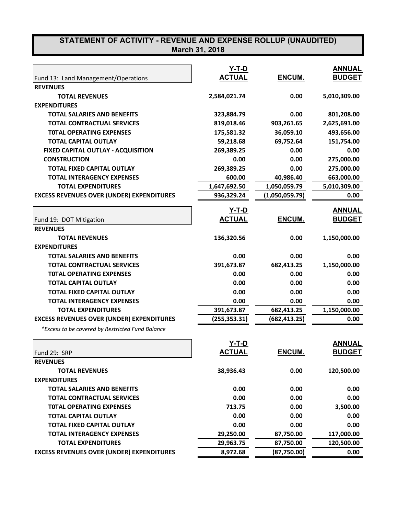|                                                  | $Y-T-D$                       |                | <b>ANNUAL</b> |
|--------------------------------------------------|-------------------------------|----------------|---------------|
| Fund 13: Land Management/Operations              | <b>ACTUAL</b>                 | ENCUM.         | <b>BUDGET</b> |
| <b>REVENUES</b>                                  |                               |                |               |
| <b>TOTAL REVENUES</b>                            | 2,584,021.74                  | 0.00           | 5,010,309.00  |
| <b>EXPENDITURES</b>                              |                               |                |               |
| <b>TOTAL SALARIES AND BENEFITS</b>               | 323,884.79                    | 0.00           | 801,208.00    |
| <b>TOTAL CONTRACTUAL SERVICES</b>                | 819,018.46                    | 903,261.65     | 2,625,691.00  |
| <b>TOTAL OPERATING EXPENSES</b>                  | 175,581.32                    | 36,059.10      | 493,656.00    |
| <b>TOTAL CAPITAL OUTLAY</b>                      | 59,218.68                     | 69,752.64      | 151,754.00    |
| FIXED CAPITAL OUTLAY - ACQUISITION               | 269,389.25                    | 0.00           | 0.00          |
| <b>CONSTRUCTION</b>                              | 0.00                          | 0.00           | 275,000.00    |
| <b>TOTAL FIXED CAPITAL OUTLAY</b>                | 269,389.25                    | 0.00           | 275,000.00    |
| <b>TOTAL INTERAGENCY EXPENSES</b>                | 600.00                        | 40,986.40      | 663,000.00    |
| <b>TOTAL EXPENDITURES</b>                        | 1,647,692.50                  | 1,050,059.79   | 5,010,309.00  |
| <b>EXCESS REVENUES OVER (UNDER) EXPENDITURES</b> | 936,329.24                    | (1,050,059.79) | 0.00          |
|                                                  |                               |                | <b>ANNUAL</b> |
|                                                  | <u>Y-T-D</u><br><b>ACTUAL</b> | ENCUM.         | <b>BUDGET</b> |
| Fund 19: DOT Mitigation                          |                               |                |               |
| <b>REVENUES</b><br><b>TOTAL REVENUES</b>         |                               |                |               |
|                                                  | 136,320.56                    | 0.00           | 1,150,000.00  |
| <b>EXPENDITURES</b>                              |                               |                |               |
| <b>TOTAL SALARIES AND BENEFITS</b>               | 0.00                          | 0.00           | 0.00          |
| <b>TOTAL CONTRACTUAL SERVICES</b>                | 391,673.87                    | 682,413.25     | 1,150,000.00  |
| <b>TOTAL OPERATING EXPENSES</b>                  | 0.00                          | 0.00           | 0.00          |
| <b>TOTAL CAPITAL OUTLAY</b>                      | 0.00                          | 0.00           | 0.00          |
| <b>TOTAL FIXED CAPITAL OUTLAY</b>                | 0.00                          | 0.00           | 0.00          |
| <b>TOTAL INTERAGENCY EXPENSES</b>                | 0.00                          | 0.00           | 0.00          |
| <b>TOTAL EXPENDITURES</b>                        | 391,673.87                    | 682,413.25     | 1,150,000.00  |
| <b>EXCESS REVENUES OVER (UNDER) EXPENDITURES</b> | (255,353.31)                  | (682,413.25)   | 0.00          |
| *Excess to be covered by Restricted Fund Balance |                               |                |               |
|                                                  | Y-T-D                         |                | <b>ANNUAL</b> |
| Fund 29: SRP                                     | <u>ACTUAL</u>                 | ENCUM.         | <b>BUDGET</b> |
| <b>REVENUES</b>                                  |                               |                |               |
| <b>TOTAL REVENUES</b>                            | 38,936.43                     | 0.00           | 120,500.00    |
| <b>EXPENDITURES</b>                              |                               |                |               |
| <b>TOTAL SALARIES AND BENEFITS</b>               | 0.00                          | 0.00           | 0.00          |
| <b>TOTAL CONTRACTUAL SERVICES</b>                | 0.00                          | 0.00           | 0.00          |
| <b>TOTAL OPERATING EXPENSES</b>                  | 713.75                        | 0.00           | 3,500.00      |
| <b>TOTAL CAPITAL OUTLAY</b>                      | 0.00                          | 0.00           | 0.00          |

**TOTAL CAPITAL OUTLAY 0.00 0.00 0.00 TOTAL FIXED CAPITAL OUTLAY 0.00 0.00 0.00 TOTAL INTERAGENCY EXPENSES 29,250.00 87,750.00 117,000.00 TOTAL EXPENDITURES 29,963.75 87,750.00 120,500.00 EXCESS REVENUES OVER (UNDER) EXPENDITURES 8,972.68 (87,750.00) 0.00**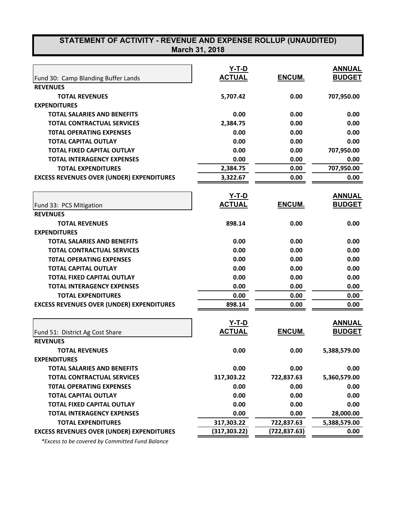| STATEMENT OF ACTIVITY - REVENUE AND EXPENSE ROLLUP (UNAUDITED)<br>March 31, 2018 |                               |               |               |  |  |
|----------------------------------------------------------------------------------|-------------------------------|---------------|---------------|--|--|
|                                                                                  | $Y-T-D$                       |               | <b>ANNUAL</b> |  |  |
| Fund 30: Camp Blanding Buffer Lands                                              | <b>ACTUAL</b>                 | ENCUM.        | <b>BUDGET</b> |  |  |
| <b>REVENUES</b>                                                                  |                               |               |               |  |  |
| <b>TOTAL REVENUES</b>                                                            | 5,707.42                      | 0.00          | 707,950.00    |  |  |
| <b>EXPENDITURES</b>                                                              |                               |               |               |  |  |
| <b>TOTAL SALARIES AND BENEFITS</b>                                               | 0.00                          | 0.00          | 0.00          |  |  |
| <b>TOTAL CONTRACTUAL SERVICES</b>                                                | 2,384.75                      | 0.00          | 0.00          |  |  |
| <b>TOTAL OPERATING EXPENSES</b>                                                  | 0.00                          | 0.00          | 0.00          |  |  |
| <b>TOTAL CAPITAL OUTLAY</b>                                                      | 0.00                          | 0.00          | 0.00          |  |  |
| <b>TOTAL FIXED CAPITAL OUTLAY</b>                                                | 0.00                          | 0.00          | 707,950.00    |  |  |
| <b>TOTAL INTERAGENCY EXPENSES</b>                                                | 0.00                          | 0.00          | 0.00          |  |  |
| <b>TOTAL EXPENDITURES</b>                                                        | 2,384.75                      | 0.00          | 707,950.00    |  |  |
| <b>EXCESS REVENUES OVER (UNDER) EXPENDITURES</b>                                 | 3,322.67                      | 0.00          | 0.00          |  |  |
|                                                                                  |                               |               |               |  |  |
|                                                                                  | <u>Y-T-D</u>                  |               | <b>ANNUAL</b> |  |  |
| Fund 33: PCS Mitigation                                                          | <b>ACTUAL</b>                 | ENCUM.        | <b>BUDGET</b> |  |  |
| <b>REVENUES</b>                                                                  |                               |               |               |  |  |
| <b>TOTAL REVENUES</b>                                                            | 898.14                        | 0.00          | 0.00          |  |  |
| <b>EXPENDITURES</b>                                                              |                               |               |               |  |  |
| <b>TOTAL SALARIES AND BENEFITS</b>                                               | 0.00                          | 0.00          | 0.00          |  |  |
| <b>TOTAL CONTRACTUAL SERVICES</b>                                                | 0.00                          | 0.00          | 0.00          |  |  |
| <b>TOTAL OPERATING EXPENSES</b>                                                  | 0.00                          | 0.00          | 0.00          |  |  |
| <b>TOTAL CAPITAL OUTLAY</b>                                                      | 0.00                          | 0.00          | 0.00          |  |  |
| <b>TOTAL FIXED CAPITAL OUTLAY</b>                                                | 0.00                          | 0.00          | 0.00          |  |  |
| <b>TOTAL INTERAGENCY EXPENSES</b>                                                | 0.00                          | 0.00          | 0.00          |  |  |
| <b>TOTAL EXPENDITURES</b>                                                        | 0.00                          | 0.00          | 0.00          |  |  |
| <b>EXCESS REVENUES OVER (UNDER) EXPENDITURES</b>                                 | 898.14                        | 0.00          | 0.00          |  |  |
|                                                                                  |                               |               | <b>ANNUAL</b> |  |  |
| Fund 51: District Ag Cost Share                                                  | <u>Y-T-D</u><br><b>ACTUAL</b> | ENCUM.        | <b>BUDGET</b> |  |  |
| <b>REVENUES</b>                                                                  |                               |               |               |  |  |
| <b>TOTAL REVENUES</b>                                                            | 0.00                          | 0.00          | 5,388,579.00  |  |  |
| <b>EXPENDITURES</b>                                                              |                               |               |               |  |  |
| <b>TOTAL SALARIES AND BENEFITS</b>                                               | 0.00                          | 0.00          | 0.00          |  |  |
| <b>TOTAL CONTRACTUAL SERVICES</b>                                                | 317,303.22                    | 722,837.63    | 5,360,579.00  |  |  |
| <b>TOTAL OPERATING EXPENSES</b>                                                  | 0.00                          | 0.00          | 0.00          |  |  |
| <b>TOTAL CAPITAL OUTLAY</b>                                                      | 0.00                          | 0.00          | 0.00          |  |  |
| <b>TOTAL FIXED CAPITAL OUTLAY</b>                                                | 0.00                          | 0.00          | 0.00          |  |  |
| <b>TOTAL INTERAGENCY EXPENSES</b>                                                | 0.00                          | 0.00          | 28,000.00     |  |  |
| <b>TOTAL EXPENDITURES</b>                                                        | 317,303.22                    | 722,837.63    | 5,388,579.00  |  |  |
| <b>EXCESS REVENUES OVER (UNDER) EXPENDITURES</b>                                 | (317, 303.22)                 | (722, 837.63) | 0.00          |  |  |

 *\*Excess to be covered by Committed Fund Balance*